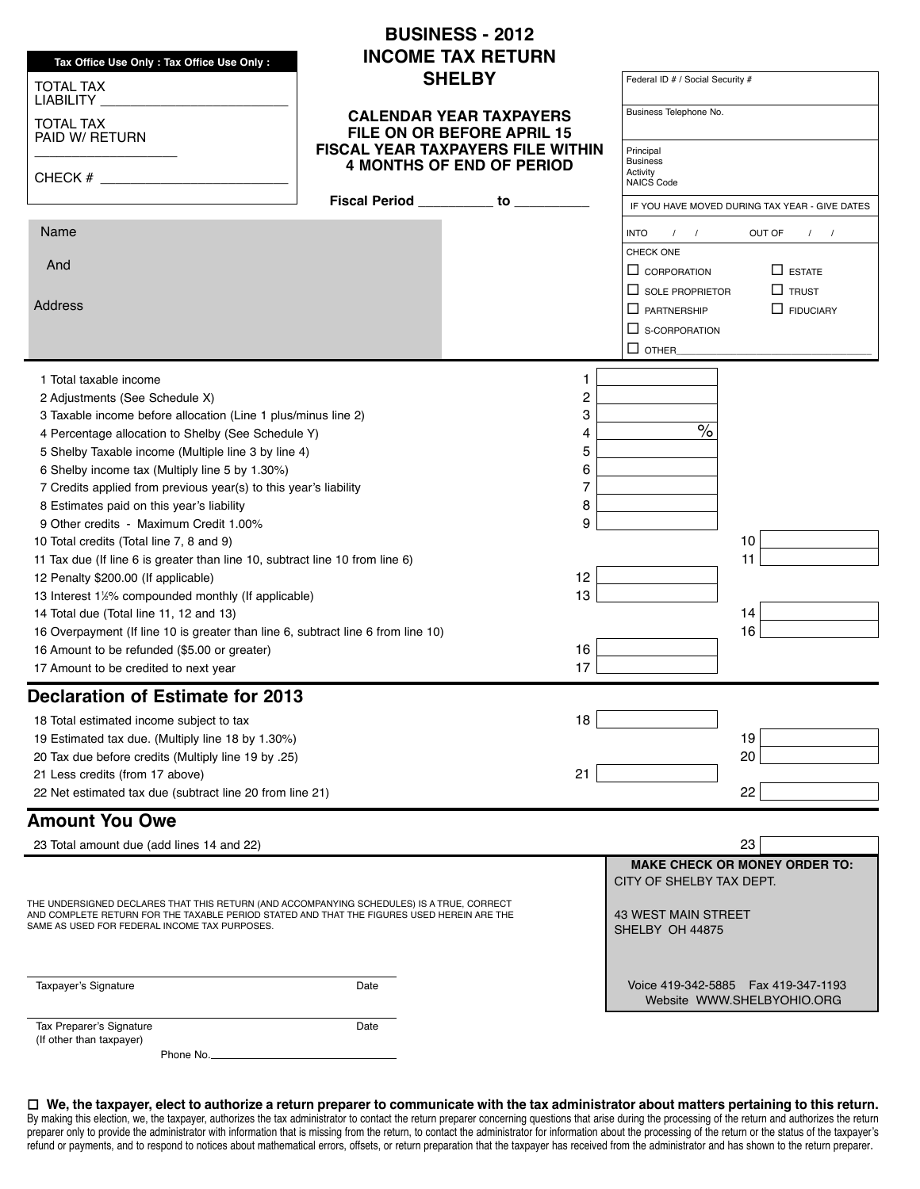|                                                                                                                                                                                                                                          |      | <b>BUSINESS - 2012</b>                                                       |                                                               |                                                                      |
|------------------------------------------------------------------------------------------------------------------------------------------------------------------------------------------------------------------------------------------|------|------------------------------------------------------------------------------|---------------------------------------------------------------|----------------------------------------------------------------------|
| Tax Office Use Only: Tax Office Use Only:                                                                                                                                                                                                |      | <b>INCOME TAX RETURN</b>                                                     |                                                               |                                                                      |
| <b>TOTAL TAX</b>                                                                                                                                                                                                                         |      | <b>SHELBY</b>                                                                | Federal ID # / Social Security #                              |                                                                      |
| LIABILITY _<br><b>TOTAL TAX</b><br>PAID W/ RETURN                                                                                                                                                                                        |      | <b>CALENDAR YEAR TAXPAYERS</b><br>FILE ON OR BEFORE APRIL 15                 | Business Telephone No.                                        |                                                                      |
| CHECK $#$                                                                                                                                                                                                                                |      | <b>FISCAL YEAR TAXPAYERS FILE WITHIN</b><br><b>4 MONTHS OF END OF PERIOD</b> | Principal<br><b>Business</b><br>Activity<br><b>NAICS Code</b> |                                                                      |
|                                                                                                                                                                                                                                          |      | Fiscal Period _________ to ________                                          |                                                               | IF YOU HAVE MOVED DURING TAX YEAR - GIVE DATES                       |
| Name                                                                                                                                                                                                                                     |      |                                                                              | $1 \quad 1$<br><b>INTO</b>                                    | OUT OF<br>$1 \quad 1$                                                |
| And                                                                                                                                                                                                                                      |      |                                                                              | CHECK ONE                                                     |                                                                      |
|                                                                                                                                                                                                                                          |      |                                                                              | $\Box$ CORPORATION                                            | $\Box$ estate                                                        |
| <b>Address</b>                                                                                                                                                                                                                           |      |                                                                              | $\Box$ SOLE PROPRIETOR                                        | $\Box$ TRUST                                                         |
|                                                                                                                                                                                                                                          |      |                                                                              | $\Box$ PARTNERSHIP                                            | $\Box$ FIDUCIARY                                                     |
|                                                                                                                                                                                                                                          |      |                                                                              | $\Box$ S-CORPORATION                                          |                                                                      |
|                                                                                                                                                                                                                                          |      |                                                                              | $\square$ OTHER_                                              |                                                                      |
| 1 Total taxable income                                                                                                                                                                                                                   |      | 1                                                                            |                                                               |                                                                      |
| 2 Adjustments (See Schedule X)                                                                                                                                                                                                           |      | 2                                                                            |                                                               |                                                                      |
| 3 Taxable income before allocation (Line 1 plus/minus line 2)                                                                                                                                                                            |      | 3                                                                            |                                                               |                                                                      |
| 4 Percentage allocation to Shelby (See Schedule Y)                                                                                                                                                                                       |      | 4                                                                            | $\frac{1}{\sqrt{2}}$                                          |                                                                      |
| 5 Shelby Taxable income (Multiple line 3 by line 4)                                                                                                                                                                                      |      | 5                                                                            |                                                               |                                                                      |
| 6 Shelby income tax (Multiply line 5 by 1.30%)                                                                                                                                                                                           |      | 6                                                                            |                                                               |                                                                      |
| 7 Credits applied from previous year(s) to this year's liability                                                                                                                                                                         |      | 7                                                                            |                                                               |                                                                      |
| 8 Estimates paid on this year's liability                                                                                                                                                                                                |      | 8                                                                            |                                                               |                                                                      |
| 9 Other credits - Maximum Credit 1.00%                                                                                                                                                                                                   |      | 9                                                                            |                                                               | 10                                                                   |
| 10 Total credits (Total line 7, 8 and 9)<br>11 Tax due (If line 6 is greater than line 10, subtract line 10 from line 6)                                                                                                                 |      |                                                                              |                                                               | 11                                                                   |
| 12 Penalty \$200.00 (If applicable)                                                                                                                                                                                                      |      | 12                                                                           |                                                               |                                                                      |
| 13 Interest 1½% compounded monthly (If applicable)                                                                                                                                                                                       |      | 13                                                                           |                                                               |                                                                      |
| 14 Total due (Total line 11, 12 and 13)                                                                                                                                                                                                  |      |                                                                              |                                                               | 14                                                                   |
| 16 Overpayment (If line 10 is greater than line 6, subtract line 6 from line 10)                                                                                                                                                         |      |                                                                              |                                                               | 16                                                                   |
| 16 Amount to be refunded (\$5.00 or greater)<br>16                                                                                                                                                                                       |      |                                                                              |                                                               |                                                                      |
| 17<br>17 Amount to be credited to next year                                                                                                                                                                                              |      |                                                                              |                                                               |                                                                      |
| <b>Declaration of Estimate for 2013</b>                                                                                                                                                                                                  |      |                                                                              |                                                               |                                                                      |
| 18 Total estimated income subject to tax                                                                                                                                                                                                 |      | 18                                                                           |                                                               |                                                                      |
| 19 Estimated tax due. (Multiply line 18 by 1.30%)                                                                                                                                                                                        |      |                                                                              |                                                               | 19                                                                   |
| 20 Tax due before credits (Multiply line 19 by .25)                                                                                                                                                                                      |      |                                                                              |                                                               | 20                                                                   |
| 21 Less credits (from 17 above)                                                                                                                                                                                                          |      | 21                                                                           |                                                               |                                                                      |
| 22 Net estimated tax due (subtract line 20 from line 21)                                                                                                                                                                                 |      |                                                                              |                                                               | 22                                                                   |
| <b>Amount You Owe</b>                                                                                                                                                                                                                    |      |                                                                              |                                                               |                                                                      |
| 23 Total amount due (add lines 14 and 22)                                                                                                                                                                                                |      |                                                                              |                                                               | 23                                                                   |
|                                                                                                                                                                                                                                          |      |                                                                              | CITY OF SHELBY TAX DEPT.                                      | <b>MAKE CHECK OR MONEY ORDER TO:</b>                                 |
| THE UNDERSIGNED DECLARES THAT THIS RETURN (AND ACCOMPANYING SCHEDULES) IS A TRUE, CORRECT<br>AND COMPLETE RETURN FOR THE TAXABLE PERIOD STATED AND THAT THE FIGURES USED HEREIN ARE THE<br>SAME AS USED FOR FEDERAL INCOME TAX PURPOSES. |      |                                                                              | <b>43 WEST MAIN STREET</b><br>SHELBY OH 44875                 |                                                                      |
| Taxpayer's Signature                                                                                                                                                                                                                     | Date |                                                                              |                                                               | Voice 419-342-5885    Fax 419-347-1193<br>Website WWW.SHELBYOHIO.ORG |
| Tax Preparer's Signature<br>(If other than taxpayer)                                                                                                                                                                                     | Date |                                                                              |                                                               |                                                                      |

□ We, the taxpayer, elect to authorize a return preparer to communicate with the tax administrator about matters pertaining to this return. By making this election, we, the taxpayer, authorizes the tax administrator to contact the return preparer concerning questions that arise during the processing of the return and authorizes the return preparer only to provide the administrator with information that is missing from the return, to contact the administrator for information about the processing of the return or the status of the taxpayer's refund or payments, and to respond to notices about mathematical errors, offsets, or return preparation that the taxpayer has received from the administrator and has shown to the return preparer.

Phone No.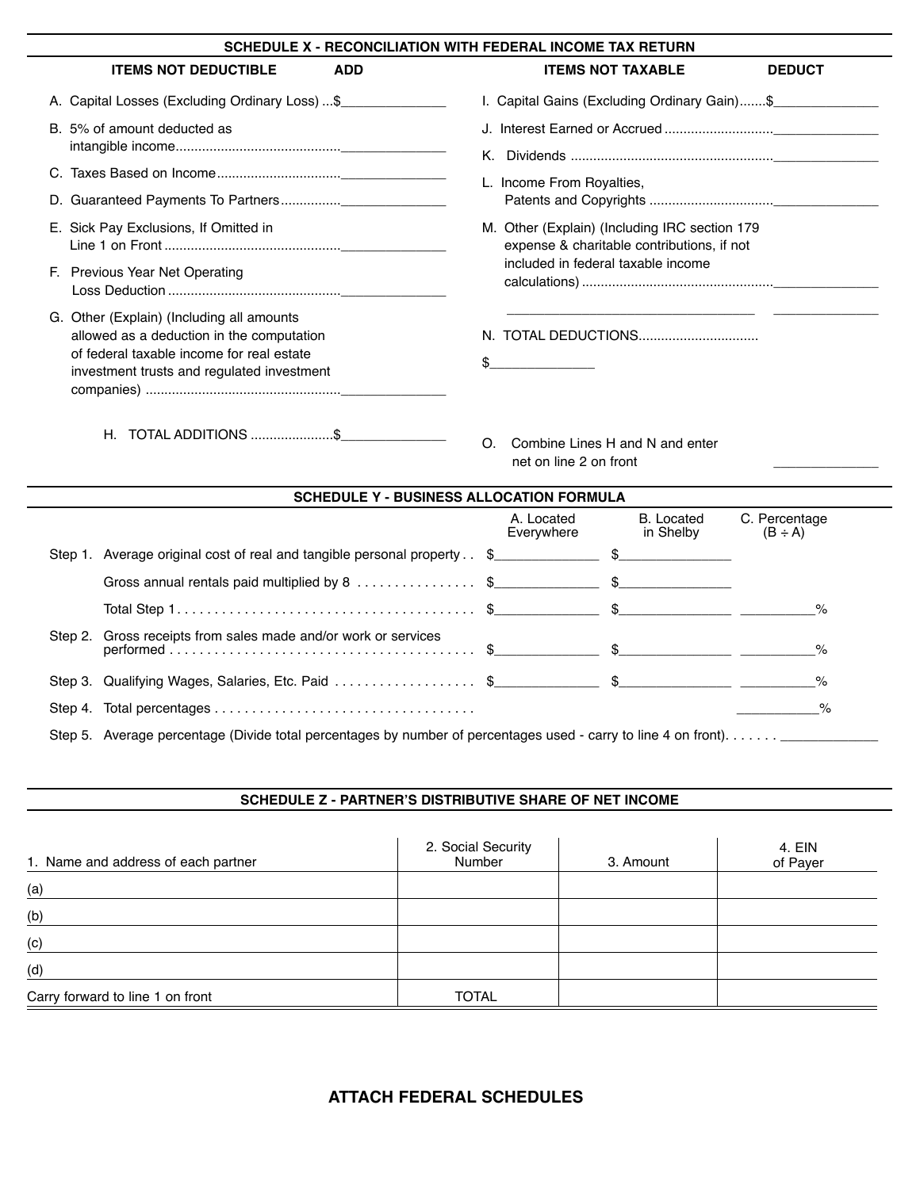| SCHEDULE X - RECONCILIATION WITH FEDERAL INCOME TAX RETURN                                                                                                                        |                                                                                             |  |  |
|-----------------------------------------------------------------------------------------------------------------------------------------------------------------------------------|---------------------------------------------------------------------------------------------|--|--|
| <b>ITEMS NOT DEDUCTIBLE</b><br><b>ADD</b>                                                                                                                                         | <b>ITEMS NOT TAXABLE</b><br><b>DEDUCT</b>                                                   |  |  |
| A. Capital Losses (Excluding Ordinary Loss)  \$                                                                                                                                   | I. Capital Gains (Excluding Ordinary Gain)\$                                                |  |  |
| B. 5% of amount deducted as                                                                                                                                                       | Κ.                                                                                          |  |  |
|                                                                                                                                                                                   | L. Income From Royalties,                                                                   |  |  |
|                                                                                                                                                                                   |                                                                                             |  |  |
| E. Sick Pay Exclusions, If Omitted in                                                                                                                                             | M. Other (Explain) (Including IRC section 179<br>expense & charitable contributions, if not |  |  |
| F. Previous Year Net Operating                                                                                                                                                    | included in federal taxable income                                                          |  |  |
| G. Other (Explain) (Including all amounts<br>allowed as a deduction in the computation<br>of federal taxable income for real estate<br>investment trusts and regulated investment |                                                                                             |  |  |
| Н.                                                                                                                                                                                | Combine Lines H and N and enter<br>$\Omega$<br>net on line 2 on front                       |  |  |

|         | <b>SCHEDULE Y - BUSINESS ALLOCATION FORMULA</b>                                                                |                          |                                |                               |
|---------|----------------------------------------------------------------------------------------------------------------|--------------------------|--------------------------------|-------------------------------|
|         |                                                                                                                | A. Located<br>Everywhere | <b>B.</b> Located<br>in Shelby | C. Percentage<br>$(B \div A)$ |
|         | Step 1. Average original cost of real and tangible personal property. \$                                       |                          |                                |                               |
|         |                                                                                                                |                          |                                |                               |
|         |                                                                                                                |                          |                                | $\%$                          |
|         | Step 2. Gross receipts from sales made and/or work or services                                                 |                          |                                | $\%$                          |
|         |                                                                                                                |                          |                                | $\%$                          |
| Step 4. |                                                                                                                |                          |                                | $\frac{1}{2}$                 |
|         | Step 5. Average percentage (Divide total percentages by number of percentages used - carry to line 4 on front) |                          |                                |                               |

## **schedUle Z - paRTneR's disTRiBUTiVe shaRe Of neT incOme**

| 1. Name and address of each partner | 2. Social Security<br>Number | 3. Amount | 4. EIN<br>of Payer |
|-------------------------------------|------------------------------|-----------|--------------------|
| (a)                                 |                              |           |                    |
| (b)                                 |                              |           |                    |
| (c)                                 |                              |           |                    |
| (d)                                 |                              |           |                    |
| Carry forward to line 1 on front    | <b>TOTAL</b>                 |           |                    |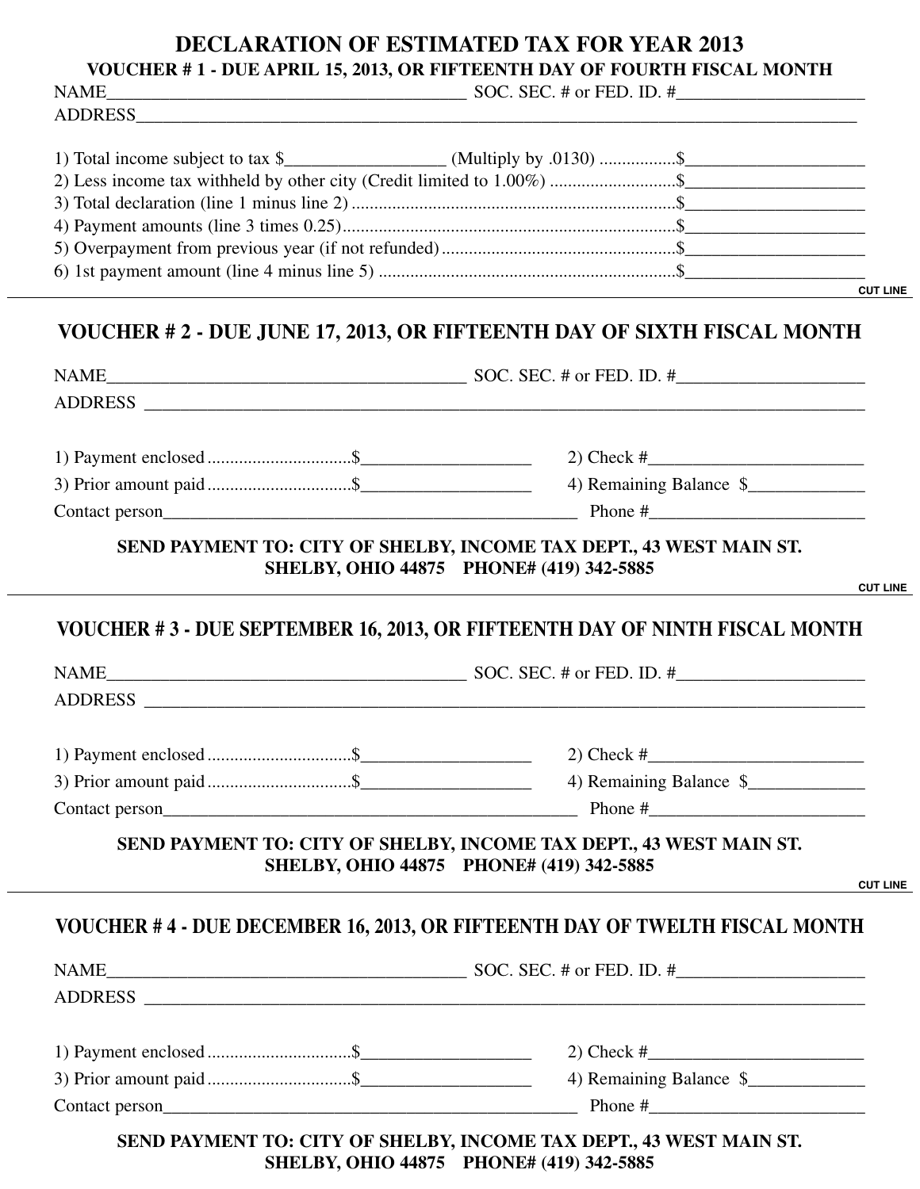# **DECLARATION OF ESTIMATED TAX FOR YEAR 2013**

**VOUCHER # 1 - DUE APRIL 15, 2013, OR FIFTEENTH DAY OF FOURTH FISCAL MONTH**

ADDRESS\_\_\_\_\_\_\_\_\_\_\_\_\_\_\_\_\_\_\_\_\_\_\_\_\_\_\_\_\_\_\_\_\_\_\_\_\_\_\_\_\_\_\_\_\_\_\_\_\_\_\_\_\_\_\_\_\_\_\_\_\_\_\_\_\_\_\_\_\_\_\_\_\_\_\_\_\_\_\_\_

NAME SOC. SEC. # or FED. ID. #

| 2) Less income tax withheld by other city (Credit limited to 1.00%) \$ |                 |
|------------------------------------------------------------------------|-----------------|
|                                                                        |                 |
|                                                                        |                 |
|                                                                        |                 |
|                                                                        |                 |
|                                                                        | <b>CUT LINE</b> |

# **VOUCHER # 2 - DUE JUNE 17, 2013, OR FIFTEENTH DAY OF SIXTH FISCAL MONTH**

|                                         | 4) Remaining Balance \$ |
|-----------------------------------------|-------------------------|
| Contact person<br><u>Contact person</u> |                         |

**SEND PAYMENT TO: CITY OF SHELBY, INCOME TAX DEPT., 43 WEST MAIN ST. SHELBY, OHIO 44875 PHONE# (419) 342-5885**

**cUT line**

# **VOUCHER # 3 - DUE SEPTEMBER 16, 2013, OR FIFTEENTH DAY OF NINTH FISCAL MONTH**

| <b>NAME</b>    | SOC. SEC. $#$ or FED. ID. $#$ |
|----------------|-------------------------------|
| <b>ADDRESS</b> |                               |

|                | $2)$ Check #            |
|----------------|-------------------------|
|                | 4) Remaining Balance \$ |
| Contact person | Phone #                 |

# **SEND PAYMENT TO: CITY OF SHELBY, INCOME TAX DEPT., 43 WEST MAIN ST. SHELBY, OHIO 44875 PHONE# (419) 342-5885**

**cUT line**

# **VOUCHER # 4 - DUE DECEMBER 16, 2013, OR FIFTEENTH DAY OF TWELTH FISCAL MONTH**

| 4) Remaining Balance \$                                             |  |
|---------------------------------------------------------------------|--|
| Phone $#$                                                           |  |
| SEND PAYMENT TO: CITY OF SHELBY, INCOME TAX DEPT., 43 WEST MAIN ST. |  |

**SHELBY, OHIO 44875 PHONE# (419) 342-5885**